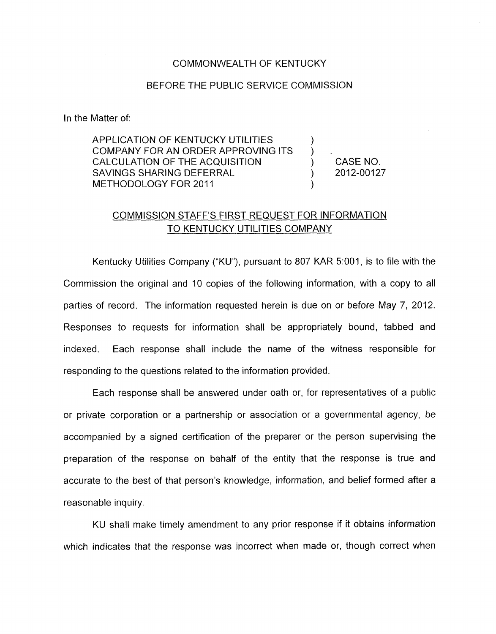## COMMONWEALTH OF KENTUCKY

## BEFORE THE PUBLIC SERVICE COMMISSION

In the Matter of:

APPLICATION OF KENTUCKY UTILITIES COMPANY FOR AN ORDER APPROVING ITS  $\left( \begin{array}{cc} 0 & 0 \end{array} \right)$ CALCULATION OF THE ACQUISITION  $(3.0123333)$  CASE NO.<br>SAVINGS SHARING DEFERRAL  $(3.012333)$ SAVINGS SHARING DEFERRAL METHODOLOGY FOR 2011 )

## COMMISSION STAFF'S FIRST REQUEST FOR INFORMATION TO KENTUCKY UTILITIES COMPANY

Kentucky Utilities Company ("KU"), pursuant to 807 KAR 5:001, is to file with the Commission the original and 10 copies of the following information, with a copy to all parties of record. The information requested herein is due on or before May 7, 2012. Responses *to* requests for information shall be appropriately bound, tabbed and indexed. Each response shall include the name of the witness responsible for responding *to* the questions related to the information provided.

Each response shall be answered under oath or, for representatives of a public or private corporation or a partnership or association or a governmental agency, be accompanied by a signed certification of the preparer or the person supervising the preparation of the response on behalf of the entity that the response is true and accurate *to* the best of that person's knowledge, information, and belief formed after a reasonable inquiry.

KU shall make timely amendment to any prior response if it obtains information which indicates that the response was incorrect when made or, though correct when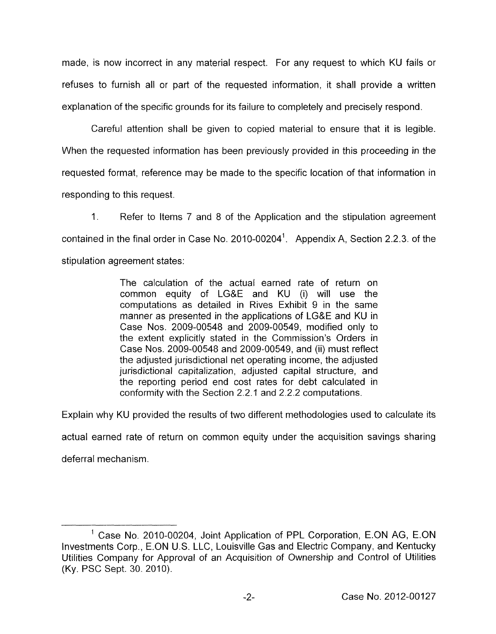made, is now incorrect in any material respect. For any request to which KU fails or refuses to furnish all or part of the requested information, it shall provide a written explanation of the specific grounds for its failure to completely and precisely respond.

Careful attention shall be given to copied material to ensure that it is legible. When the requested information has been previously provided in this proceeding in the requested format, reference may be made to the specific location of that information in responding to this request.

1. Refer to Items 7 and 8 of the Application and the stipulation agreement contained in the final order in Case No. 2010-00204'. Appendix A, Section 2.2.3. of the stipulation agreement states:

> The calculation of the actual earned rate of return on common equity of LG&E and KU (i) will use the computations as detailed in Rives Exhibit 9 in the same manner as presented in the applications of LG&E and KU in Case Nos. 2009-00548 and 2009-00549, modified only to the extent explicitly stated in the Commission's Orders in Case Nos. 2009-00548 and 2009-00549, and (ii) must reflect the adjusted jurisdictional net operating income, the adjusted jurisdictional capitalization, adjusted capital structure, and the reporting period end cost rates for debt calculated in conformity with the Section 2.2.1 and 2.2.2 computations.

Explain why KU provided the results of two different methodologies used to calculate its

actual earned rate of return on common equity under the acquisition savings sharing

deferral mechanism.

<sup>&#</sup>x27; Case No. 2010-00204, Joint Application of PPL Corporation, E.ON AG, E.ON Investments Corp., E.ON **U.S.** LLC, Louisville Gas and Electric Company, and Kentucky Utilities Company for Approval of an Acquisition of Ownership and Control of Utilities (Ky. PSC Sept. 30. 2010).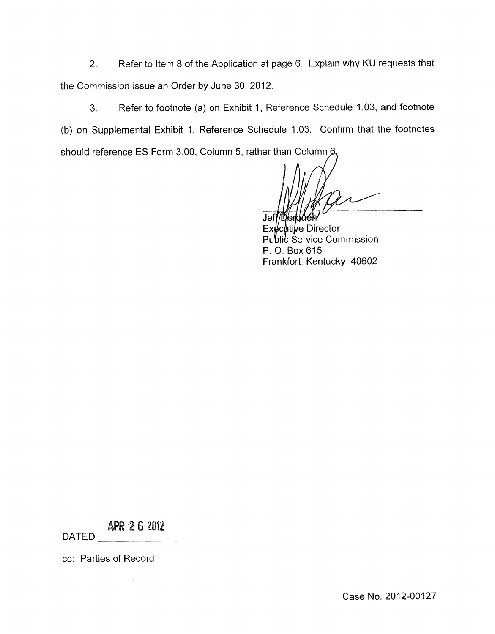2. Refer to Item 8 of the Application at page 6. Explain why KU requests that the Commission issue an Order by June 30,2012.

3. Refer to footnote (a) on Exhibit 1, Reference Schedule 1.03, and footnote (b) on Supplemental Exhibit 1, Reference Schedule 1.03. Confirm that the footnotes should reference ES Form 3.00, Column 5, rather than Column 6

**Jet** 

<sup>l</sup>c∦tilve Director Public Service Commission P. 0. Box 615 Frankfort, Kentucky 40602

**APR 26 2012** 

DATED

cc: Parties of Record